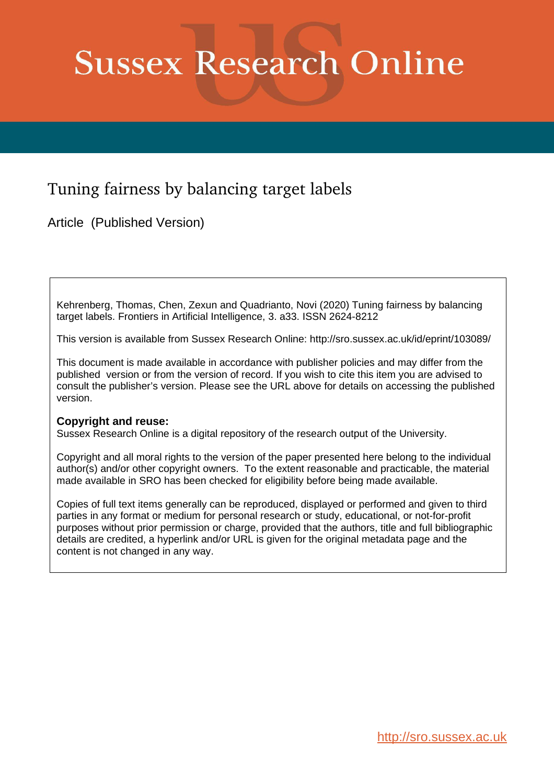# **Sussex Research Online**

## Tuning fairness by balancing target labels

Article (Published Version)

Kehrenberg, Thomas, Chen, Zexun and Quadrianto, Novi (2020) Tuning fairness by balancing target labels. Frontiers in Artificial Intelligence, 3. a33. ISSN 2624-8212

This version is available from Sussex Research Online: http://sro.sussex.ac.uk/id/eprint/103089/

This document is made available in accordance with publisher policies and may differ from the published version or from the version of record. If you wish to cite this item you are advised to consult the publisher's version. Please see the URL above for details on accessing the published version.

## **Copyright and reuse:**

Sussex Research Online is a digital repository of the research output of the University.

Copyright and all moral rights to the version of the paper presented here belong to the individual author(s) and/or other copyright owners. To the extent reasonable and practicable, the material made available in SRO has been checked for eligibility before being made available.

Copies of full text items generally can be reproduced, displayed or performed and given to third parties in any format or medium for personal research or study, educational, or not-for-profit purposes without prior permission or charge, provided that the authors, title and full bibliographic details are credited, a hyperlink and/or URL is given for the original metadata page and the content is not changed in any way.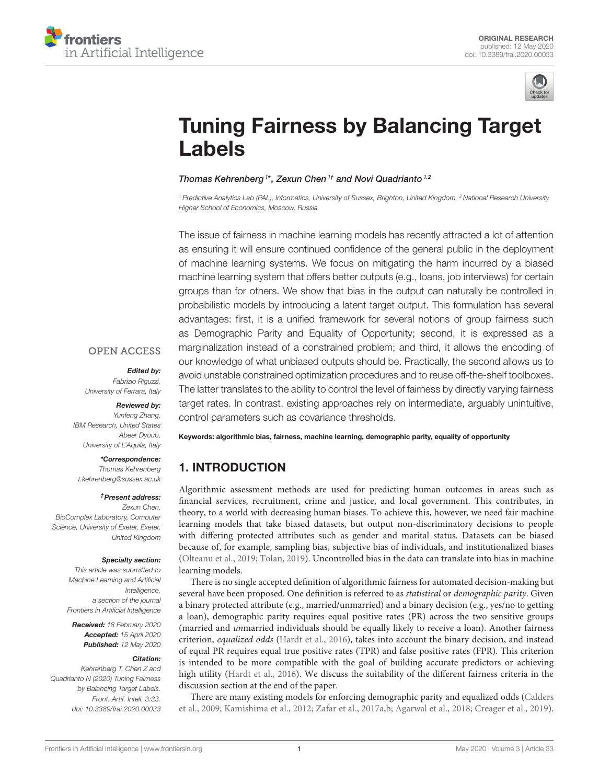



# [Tuning Fairness by Balancing Target](https://www.frontiersin.org/articles/10.3389/frai.2020.00033/full) Labels

#### [Thomas Kehrenberg](http://loop.frontiersin.org/people/909979/overview)<sup>1\*</sup>, [Zexun Chen](http://loop.frontiersin.org/people/912596/overview)<sup>1†</sup> and [Novi Quadrianto](http://loop.frontiersin.org/people/148909/overview)<sup>1,2</sup>

*<sup>1</sup> Predictive Analytics Lab (PAL), Informatics, University of Sussex, Brighton, United Kingdom, <sup>2</sup> National Research University Higher School of Economics, Moscow, Russia*

The issue of fairness in machine learning models has recently attracted a lot of attention as ensuring it will ensure continued confidence of the general public in the deployment of machine learning systems. We focus on mitigating the harm incurred by a biased machine learning system that offers better outputs (e.g., loans, job interviews) for certain groups than for others. We show that bias in the output can naturally be controlled in probabilistic models by introducing a latent target output. This formulation has several advantages: first, it is a unified framework for several notions of group fairness such as Demographic Parity and Equality of Opportunity; second, it is expressed as a marginalization instead of a constrained problem; and third, it allows the encoding of our knowledge of what unbiased outputs should be. Practically, the second allows us to avoid unstable constrained optimization procedures and to reuse off-the-shelf toolboxes. The latter translates to the ability to control the level of fairness by directly varying fairness target rates. In contrast, existing approaches rely on intermediate, arguably unintuitive, control parameters such as covariance thresholds.

#### **OPEN ACCESS**

#### Edited by:

*Fabrizio Riguzzi, University of Ferrara, Italy*

#### Reviewed by:

*Yunfeng Zhang, IBM Research, United States Abeer Dyoub, University of L'Aquila, Italy*

#### \*Correspondence:

*Thomas Kehrenberg [t.kehrenberg@sussex.ac.uk](mailto:t.kehrenberg@sussex.ac.uk)*

#### †Present address:

*Zexun Chen, BioComplex Laboratory, Computer Science, University of Exeter, Exeter, United Kingdom*

#### Specialty section:

*This article was submitted to Machine Learning and Artificial Intelligence, a section of the journal Frontiers in Artificial Intelligence*

Received: *18 February 2020* Accepted: *15 April 2020* Published: *12 May 2020*

#### Citation:

*Kehrenberg T, Chen Z and Quadrianto N (2020) Tuning Fairness by Balancing Target Labels. Front. Artif. Intell. 3:33. doi: [10.3389/frai.2020.00033](https://doi.org/10.3389/frai.2020.00033)* Keywords: algorithmic bias, fairness, machine learning, demographic parity, equality of opportunity

## 1. INTRODUCTION

Algorithmic assessment methods are used for predicting human outcomes in areas such as financial services, recruitment, crime and justice, and local government. This contributes, in theory, to a world with decreasing human biases. To achieve this, however, we need fair machine learning models that take biased datasets, but output non-discriminatory decisions to people with differing protected attributes such as gender and marital status. Datasets can be biased because of, for example, sampling bias, subjective bias of individuals, and institutionalized biases [\(Olteanu et al., 2019;](#page-12-0) [Tolan, 2019\)](#page-12-1). Uncontrolled bias in the data can translate into bias in machine learning models.

There is no single accepted definition of algorithmic fairness for automated decision-making but several have been proposed. One definition is referred to as statistical or demographic parity. Given a binary protected attribute (e.g., married/unmarried) and a binary decision (e.g., yes/no to getting a loan), demographic parity requires equal positive rates (PR) across the two sensitive groups (married and unmarried individuals should be equally likely to receive a loan). Another fairness criterion, equalized odds [\(Hardt et al., 2016\)](#page-11-0), takes into account the binary decision, and instead of equal PR requires equal true positive rates (TPR) and false positive rates (FPR). This criterion is intended to be more compatible with the goal of building accurate predictors or achieving high utility [\(Hardt et al., 2016\)](#page-11-0). We discuss the suitability of the different fairness criteria in the discussion section at the end of the paper.

There are many existing models for enforcing demographic parity and equalized odds (Calders et al., [2009;](#page-11-1) [Kamishima et al., 2012;](#page-11-2) [Zafar et al., 2017a,](#page-12-2)[b;](#page-12-3) [Agarwal et al., 2018;](#page-11-3) [Creager et al., 2019\)](#page-11-4).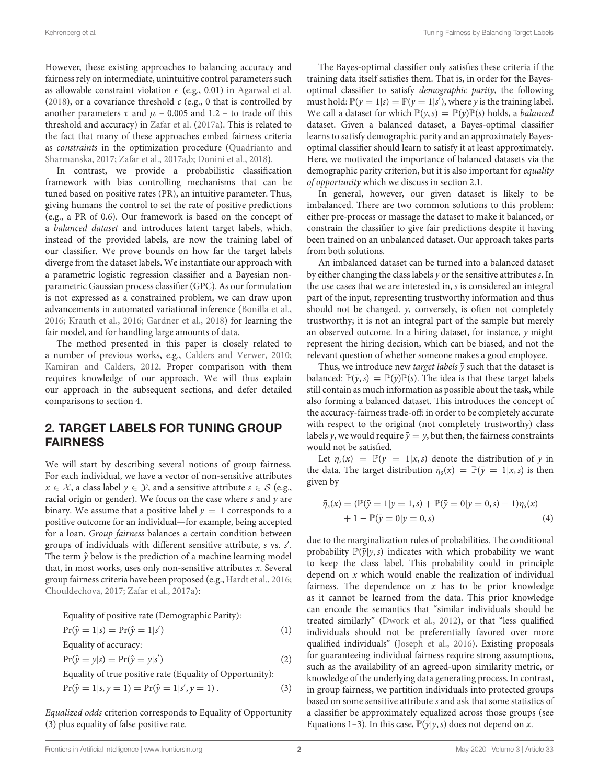However, these existing approaches to balancing accuracy and fairness rely on intermediate, unintuitive control parameters such as allowable constraint violation  $\epsilon$  (e.g., 0.01) in [Agarwal et al.](#page-11-3) [\(2018\)](#page-11-3), or a covariance threshold  $c$  (e.g., 0 that is controlled by another parameters  $\tau$  and  $\mu$  – 0.005 and 1.2 – to trade off this threshold and accuracy) in [Zafar et al.](#page-12-2) [\(2017a\)](#page-12-2). This is related to the fact that many of these approaches embed fairness criteria as constraints in the optimization procedure (Quadrianto and Sharmanska, [2017;](#page-12-4) [Zafar et al., 2017a](#page-12-2)[,b;](#page-12-3) [Donini et al., 2018\)](#page-11-5).

In contrast, we provide a probabilistic classification framework with bias controlling mechanisms that can be tuned based on positive rates (PR), an intuitive parameter. Thus, giving humans the control to set the rate of positive predictions (e.g., a PR of 0.6). Our framework is based on the concept of a balanced dataset and introduces latent target labels, which, instead of the provided labels, are now the training label of our classifier. We prove bounds on how far the target labels diverge from the dataset labels. We instantiate our approach with a parametric logistic regression classifier and a Bayesian nonparametric Gaussian process classifier (GPC). As our formulation is not expressed as a constrained problem, we can draw upon advancements in automated variational inference [\(Bonilla et al.,](#page-11-6) [2016;](#page-11-6) [Krauth et al., 2016;](#page-11-7) [Gardner et al., 2018\)](#page-11-8) for learning the fair model, and for handling large amounts of data.

The method presented in this paper is closely related to a number of previous works, e.g., [Calders and Verwer, 2010;](#page-11-9) [Kamiran and Calders, 2012.](#page-11-10) Proper comparison with them requires knowledge of our approach. We will thus explain our approach in the subsequent sections, and defer detailed comparisons to section 4.

## 2. TARGET LABELS FOR TUNING GROUP FAIRNESS

We will start by describing several notions of group fairness. For each individual, we have a vector of non-sensitive attributes  $x \in \mathcal{X}$ , a class label  $y \in \mathcal{Y}$ , and a sensitive attribute  $s \in \mathcal{S}$  (e.g., racial origin or gender). We focus on the case where  $s$  and  $y$  are binary. We assume that a positive label  $y = 1$  corresponds to a positive outcome for an individual—for example, being accepted for a loan. Group fairness balances a certain condition between groups of individuals with different sensitive attribute, s vs. s'. The term  $\hat{y}$  below is the prediction of a machine learning model that, in most works, uses only non-sensitive attributes  $x$ . Several group fairness criteria have been proposed (e.g., [Hardt et al., 2016;](#page-11-0) [Chouldechova, 2017;](#page-11-11) [Zafar et al., 2017a\)](#page-12-2):

Equality of positive rate (Demographic Parity):

\n
$$
Pr(\hat{y} = 1|s) = Pr(\hat{y} = 1|s')
$$
\n(1)

\nEquality of accuracy:

\n
$$
Pr(\hat{y} = y|s) = Pr(\hat{y} = y|s')
$$
\n(2)

\nEquality of two positive rate (Eavality of Conservation)

Equality of true positive rate (Equality of Opportunity):

$$
Pr(\hat{y} = 1 | s, y = 1) = Pr(\hat{y} = 1 | s', y = 1).
$$
 (3)

Equalized odds criterion corresponds to Equality of Opportunity (3) plus equality of false positive rate.

The Bayes-optimal classifier only satisfies these criteria if the training data itself satisfies them. That is, in order for the Bayesoptimal classifier to satisfy demographic parity, the following must hold:  $\mathbb{P}(y = 1 | s) = \mathbb{P}(y = 1 | s')$ , where y is the training label. We call a dataset for which  $\mathbb{P}(\gamma,s) = \mathbb{P}(\gamma)\mathbb{P}(s)$  holds, a *balanced* dataset. Given a balanced dataset, a Bayes-optimal classifier learns to satisfy demographic parity and an approximately Bayesoptimal classifier should learn to satisfy it at least approximately. Here, we motivated the importance of balanced datasets via the demographic parity criterion, but it is also important for equality of opportunity which we discuss in section 2.1.

In general, however, our given dataset is likely to be imbalanced. There are two common solutions to this problem: either pre-process or massage the dataset to make it balanced, or constrain the classifier to give fair predictions despite it having been trained on an unbalanced dataset. Our approach takes parts from both solutions.

An imbalanced dataset can be turned into a balanced dataset by either changing the class labels  $y$  or the sensitive attributes  $s$ . In the use cases that we are interested in, s is considered an integral part of the input, representing trustworthy information and thus should not be changed. y, conversely, is often not completely trustworthy; it is not an integral part of the sample but merely an observed outcome. In a hiring dataset, for instance,  $y$  might represent the hiring decision, which can be biased, and not the relevant question of whether someone makes a good employee.

Thus, we introduce new target labels  $\bar{y}$  such that the dataset is balanced:  $\mathbb{P}(\bar{y},s) = \mathbb{P}(\bar{y})\mathbb{P}(s)$ . The idea is that these target labels still contain as much information as possible about the task, while also forming a balanced dataset. This introduces the concept of the accuracy-fairness trade-off: in order to be completely accurate with respect to the original (not completely trustworthy) class labels y, we would require  $\bar{y} = y$ , but then, the fairness constraints would not be satisfied.

Let  $\eta_s(x) = \mathbb{P}(y = 1 | x, s)$  denote the distribution of y in the data. The target distribution  $\bar{\eta}_s(x) = \mathbb{P}(\bar{y} = 1|x,s)$  is then given by

$$
\bar{\eta}_s(x) = (\mathbb{P}(\bar{y} = 1 | y = 1, s) + \mathbb{P}(\bar{y} = 0 | y = 0, s) - 1)\eta_s(x) \n+ 1 - \mathbb{P}(\bar{y} = 0 | y = 0, s)
$$
\n(4)

due to the marginalization rules of probabilities. The conditional probability  $\mathbb{P}(\bar{y}|y,s)$  indicates with which probability we want to keep the class label. This probability could in principle depend on x which would enable the realization of individual fairness. The dependence on  $x$  has to be prior knowledge as it cannot be learned from the data. This prior knowledge can encode the semantics that "similar individuals should be treated similarly" [\(Dwork et al., 2012\)](#page-11-12), or that "less qualified individuals should not be preferentially favored over more qualified individuals" [\(Joseph et al., 2016\)](#page-11-13). Existing proposals for guaranteeing individual fairness require strong assumptions, such as the availability of an agreed-upon similarity metric, or knowledge of the underlying data generating process. In contrast, in group fairness, we partition individuals into protected groups based on some sensitive attribute s and ask that some statistics of a classifier be approximately equalized across those groups (see Equations 1–3). In this case,  $\mathbb{P}(\bar{y}|y,s)$  does not depend on x.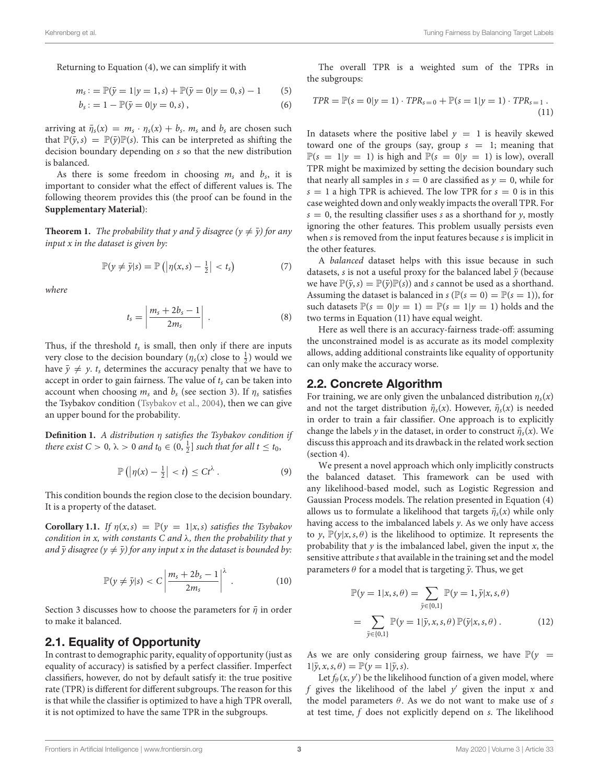Returning to Equation (4), we can simplify it with

$$
m_s := \mathbb{P}(\bar{y} = 1 | y = 1, s) + \mathbb{P}(\bar{y} = 0 | y = 0, s) - 1 \tag{5}
$$

$$
b_s := 1 - \mathbb{P}(\bar{y} = 0 | y = 0, s), \tag{6}
$$

arriving at  $\bar{\eta}_s(x) = m_s \cdot \eta_s(x) + b_s$ .  $m_s$  and  $b_s$  are chosen such that  $\mathbb{P}(\bar{y},s) = \mathbb{P}(\bar{y})\mathbb{P}(s)$ . This can be interpreted as shifting the decision boundary depending on s so that the new distribution is balanced.

As there is some freedom in choosing  $m_s$  and  $b_s$ , it is important to consider what the effect of different values is. The following theorem provides this (the proof can be found in the **[Supplementary Material](#page-11-14)**):

**Theorem 1.** The probability that y and  $\bar{y}$  disagree ( $y \neq \bar{y}$ ) for any input x in the dataset is given by:

$$
\mathbb{P}(y \neq \bar{y}|s) = \mathbb{P}\left(|\eta(x,s) - \frac{1}{2}| < t_s\right) \tag{7}
$$

where

$$
t_s = \left| \frac{m_s + 2b_s - 1}{2m_s} \right| \,. \tag{8}
$$

Thus, if the threshold  $t_s$  is small, then only if there are inputs very close to the decision boundary  $(\eta_s(x)$  close to  $\frac{1}{2})$  would we have  $\bar{y} \neq y$ .  $t_s$  determines the accuracy penalty that we have to accept in order to gain fairness. The value of  $t_s$  can be taken into account when choosing  $m_s$  and  $b_s$  (see section 3). If  $\eta_s$  satisfies the Tsybakov condition [\(Tsybakov et al., 2004\)](#page-12-5), then we can give an upper bound for the probability.

**Definition 1.** A distribution η satisfies the Tsybakov condition if there exist  $C > 0$ ,  $\lambda > 0$  and  $t_0 \in (0, \frac{1}{2}]$  such that for all  $t \le t_0$ ,

$$
\mathbb{P}\left(|\eta(x)-\tfrac{1}{2}|< t\right)\leq Ct^{\lambda} \ . \tag{9}
$$

This condition bounds the region close to the decision boundary. It is a property of the dataset.

**Corollary 1.1.** If  $\eta(x, s) = \mathbb{P}(y = 1|x, s)$  satisfies the Tsybakov condition in x, with constants  $C$  and  $\lambda$ , then the probability that y and  $\bar{y}$  disagree ( $y \neq \bar{y}$ ) for any input x in the dataset is bounded by:

$$
\mathbb{P}(y \neq \bar{y}|s) < C \left| \frac{m_s + 2b_s - 1}{2m_s} \right|^{\lambda} \tag{10}
$$

Section 3 discusses how to choose the parameters for  $\bar{\eta}$  in order to make it balanced.

#### 2.1. Equality of Opportunity

In contrast to demographic parity, equality of opportunity (just as equality of accuracy) is satisfied by a perfect classifier. Imperfect classifiers, however, do not by default satisfy it: the true positive rate (TPR) is different for different subgroups. The reason for this is that while the classifier is optimized to have a high TPR overall, it is not optimized to have the same TPR in the subgroups.

The overall TPR is a weighted sum of the TPRs in the subgroups:

$$
TPR = \mathbb{P}(s = 0 | y = 1) \cdot TPR_{s=0} + \mathbb{P}(s = 1 | y = 1) \cdot TPR_{s=1}.
$$
\n(11)

In datasets where the positive label  $y = 1$  is heavily skewed toward one of the groups (say, group  $s = 1$ ; meaning that  $\mathbb{P}(s = 1 | y = 1)$  is high and  $\mathbb{P}(s = 0 | y = 1)$  is low), overall TPR might be maximized by setting the decision boundary such that nearly all samples in  $s = 0$  are classified as  $y = 0$ , while for  $s = 1$  a high TPR is achieved. The low TPR for  $s = 0$  is in this case weighted down and only weakly impacts the overall TPR. For  $s = 0$ , the resulting classifier uses s as a shorthand for y, mostly ignoring the other features. This problem usually persists even when s is removed from the input features because s is implicit in the other features.

A balanced dataset helps with this issue because in such datasets, s is not a useful proxy for the balanced label  $\bar{y}$  (because we have  $\mathbb{P}(\bar{y},s) = \mathbb{P}(\bar{y})\mathbb{P}(s)$  and s cannot be used as a shorthand. Assuming the dataset is balanced in  $s$  ( $\mathbb{P}(s = 0) = \mathbb{P}(s = 1)$ ), for such datasets  $\mathbb{P}(s = 0 | y = 1) = \mathbb{P}(s = 1 | y = 1)$  holds and the two terms in Equation (11) have equal weight.

Here as well there is an accuracy-fairness trade-off: assuming the unconstrained model is as accurate as its model complexity allows, adding additional constraints like equality of opportunity can only make the accuracy worse.

#### 2.2. Concrete Algorithm

For training, we are only given the unbalanced distribution  $\eta_s(x)$ and not the target distribution  $\bar{\eta}_s(x)$ . However,  $\bar{\eta}_s(x)$  is needed in order to train a fair classifier. One approach is to explicitly change the labels y in the dataset, in order to construct  $\bar{\eta}_s(x)$ . We discuss this approach and its drawback in the related work section (section 4).

We present a novel approach which only implicitly constructs the balanced dataset. This framework can be used with any likelihood-based model, such as Logistic Regression and Gaussian Process models. The relation presented in Equation (4) allows us to formulate a likelihood that targets  $\bar{\eta}_s(x)$  while only having access to the imbalanced labels  $y$ . As we only have access to y,  $\mathbb{P}(y|x, s, \theta)$  is the likelihood to optimize. It represents the probability that  $y$  is the imbalanced label, given the input  $x$ , the sensitive attribute s that available in the training set and the model parameters  $\theta$  for a model that is targeting  $\bar{y}$ . Thus, we get

$$
\mathbb{P}(y=1|x,s,\theta) = \sum_{\bar{y}\in\{0,1\}} \mathbb{P}(y=1,\bar{y}|x,s,\theta)
$$

$$
= \sum_{\bar{y}\in\{0,1\}} \mathbb{P}(y=1|\bar{y},x,s,\theta) \mathbb{P}(\bar{y}|x,s,\theta). \tag{12}
$$

As we are only considering group fairness, we have  $\mathbb{P}(y =$  $1|\overline{y}, x, s, \theta) = \mathbb{P}(y = 1|\overline{y}, s).$ 

Let  $f_{\theta}(x, y')$  be the likelihood function of a given model, where f gives the likelihood of the label  $y'$  given the input x and the model parameters  $\theta$ . As we do not want to make use of s at test time, f does not explicitly depend on s. The likelihood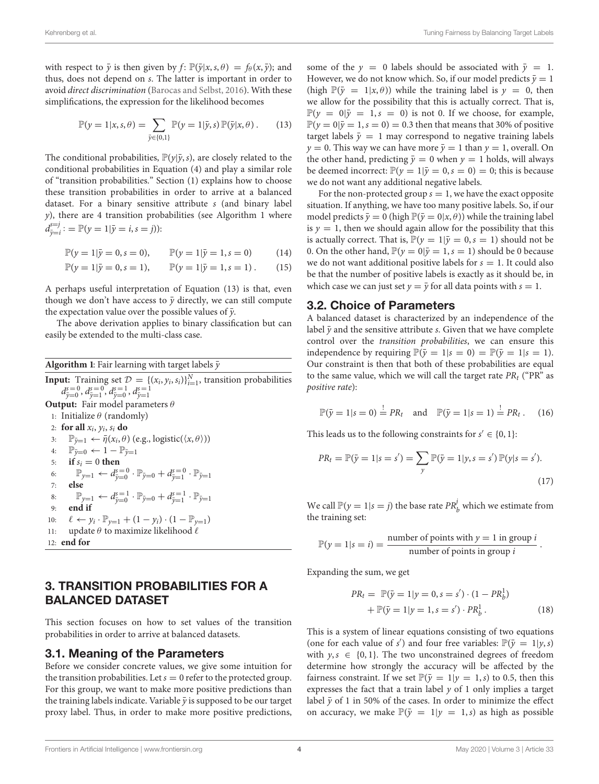with respect to  $\bar{y}$  is then given by  $f: \mathbb{P}(\bar{y}|x,s,\theta) = f_{\theta}(x,\bar{y})$ ; and thus, does not depend on s. The latter is important in order to avoid direct discrimination [\(Barocas and Selbst, 2016\)](#page-11-15). With these simplifications, the expression for the likelihood becomes

$$
\mathbb{P}(y=1|x,s,\theta)=\sum_{\bar{y}\in\{0,1\}}\mathbb{P}(y=1|\bar{y},s)\,\mathbb{P}(\bar{y}|x,\theta). \qquad (13)
$$

The conditional probabilities,  $\mathbb{P}(y|\bar{y},s)$ , are closely related to the conditional probabilities in Equation (4) and play a similar role of "transition probabilities." Section (1) explains how to choose these transition probabilities in order to arrive at a balanced dataset. For a binary sensitive attribute s (and binary label  $y$ ), there are 4 transition probabilities (see Algorithm 1 where  $d_{\bar{v}=i}^{s=j}$  $\bar{y}^{s=j}_{\bar{y}=i}$ : =  $\mathbb{P}(y = 1 | \bar{y} = i, s = j)$ ):

$$
\mathbb{P}(y=1|\bar{y}=0,s=0), \qquad \mathbb{P}(y=1|\bar{y}=1,s=0) \tag{14}
$$

$$
\mathbb{P}(y=1|\bar{y}=0,s=1), \qquad \mathbb{P}(y=1|\bar{y}=1,s=1). \tag{15}
$$

A perhaps useful interpretation of Equation (13) is that, even though we don't have access to  $\bar{y}$  directly, we can still compute the expectation value over the possible values of  $\bar{y}$ .

The above derivation applies to binary classification but can easily be extended to the multi-class case.

**Algorithm 1**: Fair learning with target labels  $\bar{y}$ 

**Input:** Training set  $\mathcal{D} = \{ (x_i, y_i, s_i) \}_{i=1}^N$ , transition probabilities  $d_{\bar{y}=0}^{s=0}, d_{\bar{y}=1}^{s=0}, d_{\bar{y}=0}^{s=1}, d_{\bar{y}=1}^{s=1}$ **Output:** Fair model parameters θ 1: Initialize  $\theta$  (randomly) 2: **for all**  $x_i$ ,  $y_i$ ,  $s_i$  **do** 3:  $\mathbb{P}_{\bar{y}=1} \leftarrow \bar{\eta}(x_i, \theta)$  (e.g., logistic( $\langle x, \theta \rangle$ )) 4:  $\mathbb{P}_{\bar{y}=0} \leftarrow 1 - \mathbb{P}_{\bar{y}=1}$ 5: **if**  $s_i = 0$  **then** 6:  $\mathbb{P}_{y=1} \leftarrow d_{\bar{y}=0}^{s=0} \cdot \mathbb{P}_{\bar{y}=0} + d_{\bar{y}=1}^{s=0} \cdot \mathbb{P}_{\bar{y}=1}$ 7: **else** 8:  $\mathbb{P}_{y=1} \leftarrow d_{\bar{y}=0}^{s=1} \cdot \mathbb{P}_{\bar{y}=0} + d_{\bar{y}=1}^{s=1} \cdot \mathbb{P}_{\bar{y}=1}$ 9: **end if** 10:  $\ell \leftarrow y_i \cdot \mathbb{P}_{y=1} + (1 - y_i) \cdot (1 - \mathbb{P}_{y=1})$ 11: update  $\theta$  to maximize likelihood  $\ell$ 12: **end for**

## 3. TRANSITION PROBABILITIES FOR A BALANCED DATASET

This section focuses on how to set values of the transition probabilities in order to arrive at balanced datasets.

#### 3.1. Meaning of the Parameters

Before we consider concrete values, we give some intuition for the transition probabilities. Let  $s = 0$  refer to the protected group. For this group, we want to make more positive predictions than the training labels indicate. Variable  $\bar{y}$  is supposed to be our target proxy label. Thus, in order to make more positive predictions,

some of the  $y = 0$  labels should be associated with  $\bar{y} = 1$ . However, we do not know which. So, if our model predicts  $\bar{y} = 1$ (high  $\mathbb{P}(\bar{y} = 1|x, \theta)$ ) while the training label is  $y = 0$ , then we allow for the possibility that this is actually correct. That is,  $\mathbb{P}(y = 0 | \bar{y} = 1, s = 0)$  is not 0. If we choose, for example,  $\mathbb{P}(\gamma = 0|\bar{\gamma} = 1, s = 0) = 0.3$  then that means that 30% of positive target labels  $\bar{y} = 1$  may correspond to negative training labels  $y = 0$ . This way we can have more  $\bar{y} = 1$  than  $y = 1$ , overall. On the other hand, predicting  $\bar{y} = 0$  when  $y = 1$  holds, will always be deemed incorrect:  $\mathbb{P}(y = 1 | \bar{y} = 0, s = 0) = 0$ ; this is because we do not want any additional negative labels.

For the non-protected group  $s = 1$ , we have the exact opposite situation. If anything, we have too many positive labels. So, if our model predicts  $\bar{y} = 0$  (high  $\mathbb{P}(\bar{y} = 0|x, \theta)$ ) while the training label is  $y = 1$ , then we should again allow for the possibility that this is actually correct. That is,  $\mathbb{P}(\gamma = 1 | \bar{\gamma} = 0, s = 1)$  should not be 0. On the other hand,  $\mathbb{P}(y = 0 | \bar{y} = 1, s = 1)$  should be 0 because we do not want additional positive labels for  $s = 1$ . It could also be that the number of positive labels is exactly as it should be, in which case we can just set  $y = \overline{y}$  for all data points with  $s = 1$ .

#### 3.2. Choice of Parameters

A balanced dataset is characterized by an independence of the label  $\bar{y}$  and the sensitive attribute s. Given that we have complete control over the transition probabilities, we can ensure this independence by requiring  $\mathbb{P}(\bar{y} = 1 | s = 0) = \mathbb{P}(\bar{y} = 1 | s = 1)$ . Our constraint is then that both of these probabilities are equal to the same value, which we will call the target rate  $PR_t$  ("PR" as positive rate):

$$
\mathbb{P}(\bar{y} = 1 | s = 0) \stackrel{!}{=} PR_t \text{ and } \mathbb{P}(\bar{y} = 1 | s = 1) \stackrel{!}{=} PR_t. \quad (16)
$$

This leads us to the following constraints for  $s' \in \{0, 1\}$ :

$$
PR_t = \mathbb{P}(\bar{y} = 1 | s = s') = \sum_{y} \mathbb{P}(\bar{y} = 1 | y, s = s') \mathbb{P}(y | s = s').
$$
\n(17)

We call  $\mathbb{P}(y = 1 | s = j)$  the base rate  $PR_b^j$  which we estimate from the training set:

$$
\mathbb{P}(y = 1 | s = i) = \frac{\text{number of points with } y = 1 \text{ in group } i}{\text{number of points in group } i}.
$$

Expanding the sum, we get

$$
PRt = \mathbb{P}(\bar{y} = 1 | y = 0, s = s') \cdot (1 - PRb1) + \mathbb{P}(\bar{y} = 1 | y = 1, s = s') \cdot PRb1.
$$
 (18)

This is a system of linear equations consisting of two equations (one for each value of s') and four free variables:  $\mathbb{P}(\bar{y} = 1 | y, s)$ with  $y, s \in \{0, 1\}$ . The two unconstrained degrees of freedom determine how strongly the accuracy will be affected by the fairness constraint. If we set  $\mathbb{P}(\bar{y} = 1|y = 1, s)$  to 0.5, then this expresses the fact that a train label  $y$  of 1 only implies a target label  $\bar{y}$  of 1 in 50% of the cases. In order to minimize the effect on accuracy, we make  $\mathbb{P}(\bar{y} = 1|y = 1, s)$  as high as possible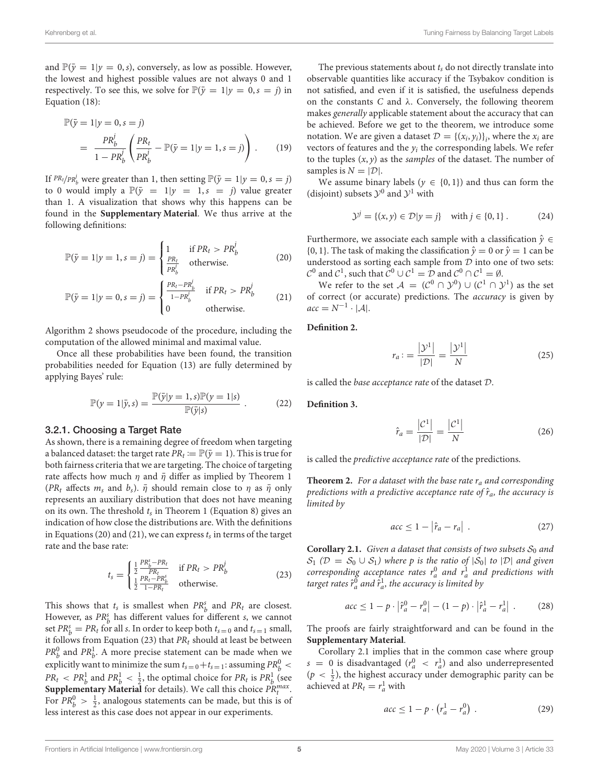and  $\mathbb{P}(\bar{y}=1|y=0,s)$ , conversely, as low as possible. However, the lowest and highest possible values are not always 0 and 1 respectively. To see this, we solve for  $\mathbb{P}(\bar{y} = 1|y = 0, s = j)$  in Equation (18):

$$
\mathbb{P}(\bar{y} = 1 | y = 0, s = j) \n= \frac{PR_b^j}{1 - PR_b^j} \left( \frac{PR_t}{PR_b^j} - \mathbb{P}(\bar{y} = 1 | y = 1, s = j) \right).
$$
\n(19)

If  $PR_t/PR_b^j$  were greater than 1, then setting  $\mathbb{P}(\bar{y}=1|y=0,s=j)$ to 0 would imply a  $\mathbb{P}(\bar{y} = 1 | y = 1, s = j)$  value greater than 1. A visualization that shows why this happens can be found in the **[Supplementary Material](#page-11-14)**. We thus arrive at the following definitions:

$$
\mathbb{P}(\bar{y} = 1 | y = 1, s = j) = \begin{cases} 1 & \text{if } PR_t > PR_b^j \\ \frac{PR_t}{PR_b^j} & \text{otherwise.} \end{cases} \tag{20}
$$

$$
\mathbb{P}(\bar{y} = 1 | y = 0, s = j) = \begin{cases} \frac{PR_t - PR_b^j}{1 - PR_b^j} & \text{if } PR_t > PR_b^j\\ 0 & \text{otherwise.} \end{cases}
$$
(21)

Algorithm 2 shows pseudocode of the procedure, including the computation of the allowed minimal and maximal value.

Once all these probabilities have been found, the transition probabilities needed for Equation (13) are fully determined by applying Bayes' rule:

$$
\mathbb{P}(y=1|\bar{y},s) = \frac{\mathbb{P}(\bar{y}|y=1,s)\mathbb{P}(y=1|s)}{\mathbb{P}(\bar{y}|s)}.
$$
 (22)

#### 3.2.1. Choosing a Target Rate

As shown, there is a remaining degree of freedom when targeting a balanced dataset: the target rate  $PR_t := \mathbb{P}(\bar{y}=1).$  This is true for both fairness criteria that we are targeting. The choice of targeting rate affects how much  $\eta$  and  $\bar{\eta}$  differ as implied by Theorem 1 (PR<sub>t</sub> affects  $m_s$  and  $b_s$ ).  $\bar{\eta}$  should remain close to  $\eta$  as  $\bar{\eta}$  only represents an auxiliary distribution that does not have meaning on its own. The threshold  $t_s$  in Theorem 1 (Equation 8) gives an indication of how close the distributions are. With the definitions in Equations (20) and (21), we can express  $t_s$  in terms of the target rate and the base rate:

$$
t_s = \begin{cases} \frac{1}{2} \frac{PR_b^s - PR_t}{PR_t} & \text{if } PR_t > PR_b^j\\ \frac{1}{2} \frac{PR_t - PR_b^s}{1 - PR_t} & \text{otherwise.} \end{cases}
$$
(23)

This shows that  $t_s$  is smallest when  $PR_s$  and  $PR_t$  are closest. However, as  $PR_b^s$  has different values for different s, we cannot set  $PR_b^s = PR_t$  for all s. In order to keep both  $t_{s=0}$  and  $t_{s=1}$  small, it follows from Equation (23) that  $PR_t$  should at least be between  $PR_b^0$  and  $PR_b^1$ . A more precise statement can be made when we explicitly want to minimize the sum  $t_{s=0}+t_{s=1}$ : assuming  $PR_b^0$  <  $PR_t$  <  $PR_b^1$  and  $PR_b^1$  <  $\frac{1}{2}$ , the optimal choice for  $PR_t$  is  $PR_b^1$  (see **[Supplementary Material](#page-11-14)** for details). We call this choice  $PR_t^{max}$ . For  $PR_b^0 > \frac{1}{2}$ , analogous statements can be made, but this is of less interest as this case does not appear in our experiments.

The previous statements about  $t_s$  do not directly translate into observable quantities like accuracy if the Tsybakov condition is not satisfied, and even if it is satisfied, the usefulness depends on the constants C and  $\lambda$ . Conversely, the following theorem makes generally applicable statement about the accuracy that can be achieved. Before we get to the theorem, we introduce some notation. We are given a dataset  $D = \{(x_i, y_i)\}_i$ , where the  $x_i$  are vectors of features and the  $y_i$  the corresponding labels. We refer to the tuples  $(x, y)$  as the *samples* of the dataset. The number of samples is  $N = |\mathcal{D}|$ .

We assume binary labels ( $y \in \{0, 1\}$ ) and thus can form the (disjoint) subsets  $\mathcal{Y}^0$  and  $\mathcal{Y}^1$  with

$$
\mathcal{Y}^{j} = \{(x, y) \in \mathcal{D} | y = j\} \quad \text{with } j \in \{0, 1\} \,. \tag{24}
$$

Furthermore, we associate each sample with a classification  $\hat{y} \in$ {0, 1}. The task of making the classification  $\hat{y} = 0$  or  $\hat{y} = 1$  can be understood as sorting each sample from  $D$  into one of two sets:  $C^0$  and  $C^1$ , such that  $C^0 \cup C^1 = \mathcal{D}$  and  $C^0 \cap C^1 = \emptyset$ .

We refer to the set  $\mathcal{A} = (\mathcal{C}^0 \cap \mathcal{Y}^0) \cup (\mathcal{C}^1 \cap \mathcal{Y}^1)$  as the set of correct (or accurate) predictions. The accuracy is given by  $acc = N^{-1} \cdot |\mathcal{A}|.$ 

**Definition 2.**

$$
r_a := \frac{|\mathcal{Y}^1|}{|\mathcal{D}|} = \frac{|\mathcal{Y}^1|}{N}
$$
 (25)

is called the base acceptance rate of the dataset D.

**Definition 3.**

$$
\hat{r}_a = \frac{|C^1|}{|D|} = \frac{|C^1|}{N}
$$
\n(26)

is called the predictive acceptance rate of the predictions.

**Theorem 2.** For a dataset with the base rate  $r_a$  and corresponding predictions with a predictive acceptance rate of  $\hat{r}_a$ , the accuracy is limited by

$$
acc \le 1 - |\hat{r}_a - r_a| \tag{27}
$$

**Corollary 2.1.** Given a dataset that consists of two subsets  $S_0$  and  $S_1$  ( $\mathcal{D} = S_0 \cup S_1$ ) where p is the ratio of  $|S_0|$  to  $|D|$  and given corresponding acceptance rates  $r_a^0$  and  $r_a^1$  and predictions with target rates  $\hat{r}_a^0$  and  $\hat{r}_a^1$ , the accuracy is limited by

$$
acc \le 1 - p \cdot |\hat{r}_a^0 - r_a^0| - (1 - p) \cdot |\hat{r}_a^1 - r_a^1| \ . \tag{28}
$$

The proofs are fairly straightforward and can be found in the **[Supplementary Material](#page-11-14)**.

Corollary 2.1 implies that in the common case where group  $s = 0$  is disadvantaged  $(r_a^0 < r_a^1)$  and also underrepresented  $(p < \frac{1}{2})$ , the highest accuracy under demographic parity can be achieved at  $PR_t = r_a^1$  with

$$
acc \le 1 - p \cdot \left( r_a^1 - r_a^0 \right) \,. \tag{29}
$$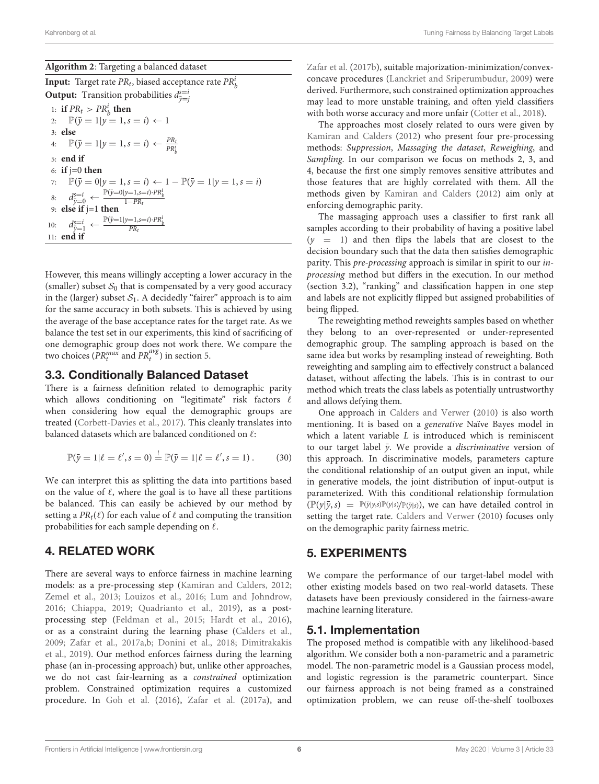| Algorithm 2: Targeting a balanced dataset |  |  |  |
|-------------------------------------------|--|--|--|
|-------------------------------------------|--|--|--|

**Input:** Target rate  $PR_t$ , biased acceptance rate  $PR_b^i$ **Output:** Transition probabilities  $d_{\bar{y}=j}^{s=i}$ 

1: **if**  $PR_t > PR_b^i$  then 2:  $\mathbb{P}(\bar{y}=1|y=1,s=i) \leftarrow 1$ 3: **else** 4:  $\mathbb{P}(\bar{y}=1|y=1,s=i) \leftarrow \frac{PR_i}{PR_i^i}$ b 5: **end if** 6: **if** j=0 **then** 7:  $\mathbb{P}(\bar{y}=0|y=1,s=i) \leftarrow 1 - \mathbb{P}(\bar{y}=1|y=1,s=i)$ 8:  $d_{\bar{y}=0}^{s=i} \leftarrow \frac{\mathbb{P}(\bar{y}=0|y=1,s=i)\cdot PR_b^i}{1-PR_t}$ <br>9: **else if** j=1 **then** 10:  $d_{\bar{y}=1}^{s=i} \leftarrow \frac{\mathbb{P}(\bar{y}=1|y=1,s=i) \cdot PR_b^i}{PR_t}$ 11: **end if**

However, this means willingly accepting a lower accuracy in the (smaller) subset  $S_0$  that is compensated by a very good accuracy in the (larger) subset  $S_1$ . A decidedly "fairer" approach is to aim for the same accuracy in both subsets. This is achieved by using the average of the base acceptance rates for the target rate. As we balance the test set in our experiments, this kind of sacrificing of one demographic group does not work there. We compare the two choices ( $PR_t^{max}$  and  $PR_t^{avg}$ ) in section 5.

#### 3.3. Conditionally Balanced Dataset

There is a fairness definition related to demographic parity which allows conditioning on "legitimate" risk factors  $\ell$ when considering how equal the demographic groups are treated [\(Corbett-Davies et al., 2017\)](#page-11-16). This cleanly translates into balanced datasets which are balanced conditioned on  $\ell$ :

$$
\mathbb{P}(\bar{y} = 1 | \ell = \ell', s = 0) \stackrel{!}{=} \mathbb{P}(\bar{y} = 1 | \ell = \ell', s = 1).
$$
 (30)

We can interpret this as splitting the data into partitions based on the value of  $\ell$ , where the goal is to have all these partitions be balanced. This can easily be achieved by our method by setting a  $PR_t(\ell)$  for each value of  $\ell$  and computing the transition probabilities for each sample depending on  $\ell$ .

## 4. RELATED WORK

There are several ways to enforce fairness in machine learning models: as a pre-processing step [\(Kamiran and Calders, 2012;](#page-11-10) [Zemel et al., 2013;](#page-12-6) [Louizos et al., 2016;](#page-11-17) [Lum and Johndrow,](#page-12-7) [2016;](#page-12-7) [Chiappa, 2019;](#page-11-18) [Quadrianto et al., 2019\)](#page-12-8), as a postprocessing step [\(Feldman et al., 2015;](#page-11-19) [Hardt et al., 2016\)](#page-11-0), or as a constraint during the learning phase [\(Calders et al.,](#page-11-1) [2009;](#page-11-1) [Zafar et al., 2017a,](#page-12-2)[b;](#page-12-3) [Donini et al., 2018;](#page-11-5) Dimitrakakis et al., [2019\)](#page-11-20). Our method enforces fairness during the learning phase (an in-processing approach) but, unlike other approaches, we do not cast fair-learning as a constrained optimization problem. Constrained optimization requires a customized procedure. In [Goh et al.](#page-11-21) [\(2016\)](#page-11-21), [Zafar et al.](#page-12-2) [\(2017a\)](#page-12-2), and [Zafar et al.](#page-12-3) [\(2017b\)](#page-12-3), suitable majorization-minimization/convexconcave procedures [\(Lanckriet and Sriperumbudur, 2009\)](#page-11-22) were derived. Furthermore, such constrained optimization approaches may lead to more unstable training, and often yield classifiers with both worse accuracy and more unfair [\(Cotter et al., 2018\)](#page-11-23).

The approaches most closely related to ours were given by [Kamiran and Calders](#page-11-10) [\(2012\)](#page-11-10) who present four pre-processing methods: Suppression, Massaging the dataset, Reweighing, and Sampling. In our comparison we focus on methods 2, 3, and 4, because the first one simply removes sensitive attributes and those features that are highly correlated with them. All the methods given by [Kamiran and Calders](#page-11-10) [\(2012\)](#page-11-10) aim only at enforcing demographic parity.

The massaging approach uses a classifier to first rank all samples according to their probability of having a positive label  $(y = 1)$  and then flips the labels that are closest to the decision boundary such that the data then satisfies demographic parity. This pre-processing approach is similar in spirit to our inprocessing method but differs in the execution. In our method (section 3.2), "ranking" and classification happen in one step and labels are not explicitly flipped but assigned probabilities of being flipped.

The reweighting method reweights samples based on whether they belong to an over-represented or under-represented demographic group. The sampling approach is based on the same idea but works by resampling instead of reweighting. Both reweighting and sampling aim to effectively construct a balanced dataset, without affecting the labels. This is in contrast to our method which treats the class labels as potentially untrustworthy and allows defying them.

One approach in [Calders and Verwer](#page-11-9) [\(2010\)](#page-11-9) is also worth mentioning. It is based on a generative Naïve Bayes model in which a latent variable L is introduced which is reminiscent to our target label  $\bar{y}$ . We provide a *discriminative* version of this approach. In discriminative models, parameters capture the conditional relationship of an output given an input, while in generative models, the joint distribution of input-output is parameterized. With this conditional relationship formulation  $(\mathbb{P}(y|\bar{y},s) = \mathbb{P}(\bar{y}|y,s)\mathbb{P}(y|s)/\mathbb{P}(\bar{y}|s))$ , we can have detailed control in setting the target rate. [Calders and Verwer](#page-11-9) [\(2010\)](#page-11-9) focuses only on the demographic parity fairness metric.

## 5. EXPERIMENTS

We compare the performance of our target-label model with other existing models based on two real-world datasets. These datasets have been previously considered in the fairness-aware machine learning literature.

### 5.1. Implementation

The proposed method is compatible with any likelihood-based algorithm. We consider both a non-parametric and a parametric model. The non-parametric model is a Gaussian process model, and logistic regression is the parametric counterpart. Since our fairness approach is not being framed as a constrained optimization problem, we can reuse off-the-shelf toolboxes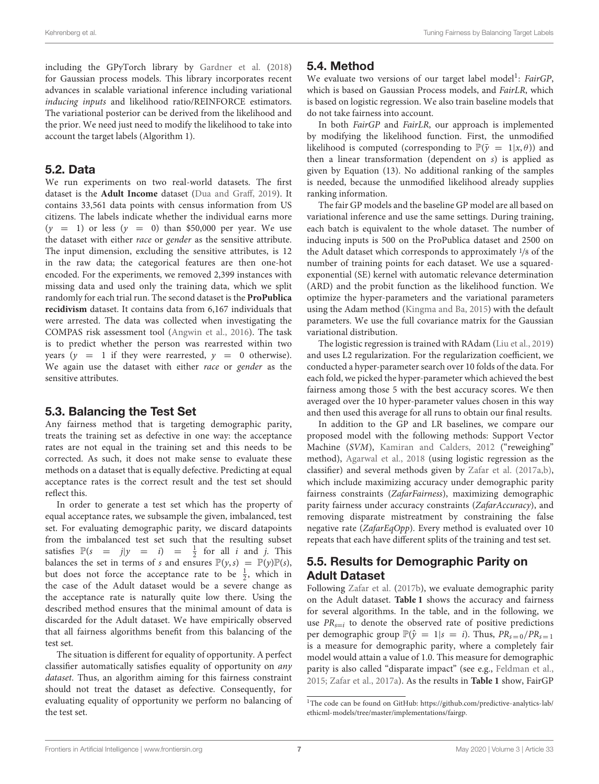including the GPyTorch library by [Gardner et al.](#page-11-8) [\(2018\)](#page-11-8) for Gaussian process models. This library incorporates recent advances in scalable variational inference including variational inducing inputs and likelihood ratio/REINFORCE estimators. The variational posterior can be derived from the likelihood and the prior. We need just need to modify the likelihood to take into account the target labels (Algorithm 1).

## 5.2. Data

We run experiments on two real-world datasets. The first dataset is the **Adult Income** dataset [\(Dua and Graff, 2019\)](#page-11-24). It contains 33,561 data points with census information from US citizens. The labels indicate whether the individual earns more  $(y = 1)$  or less  $(y = 0)$  than \$50,000 per year. We use the dataset with either race or gender as the sensitive attribute. The input dimension, excluding the sensitive attributes, is 12 in the raw data; the categorical features are then one-hot encoded. For the experiments, we removed 2,399 instances with missing data and used only the training data, which we split randomly for each trial run. The second dataset is the **ProPublica recidivism** dataset. It contains data from 6,167 individuals that were arrested. The data was collected when investigating the COMPAS risk assessment tool [\(Angwin et al., 2016\)](#page-11-25). The task is to predict whether the person was rearrested within two years  $(y = 1$  if they were rearrested,  $y = 0$  otherwise). We again use the dataset with either race or gender as the sensitive attributes.

## 5.3. Balancing the Test Set

Any fairness method that is targeting demographic parity, treats the training set as defective in one way: the acceptance rates are not equal in the training set and this needs to be corrected. As such, it does not make sense to evaluate these methods on a dataset that is equally defective. Predicting at equal acceptance rates is the correct result and the test set should reflect this.

In order to generate a test set which has the property of equal acceptance rates, we subsample the given, imbalanced, test set. For evaluating demographic parity, we discard datapoints from the imbalanced test set such that the resulting subset satisfies  $\mathbb{P}(s = j | y = i) = \frac{1}{2}$  for all *i* and *j*. This balances the set in terms of s and ensures  $\mathbb{P}(y, s) = \mathbb{P}(y)\mathbb{P}(s)$ , but does not force the acceptance rate to be  $\frac{1}{2}$ , which in the case of the Adult dataset would be a severe change as the acceptance rate is naturally quite low there. Using the described method ensures that the minimal amount of data is discarded for the Adult dataset. We have empirically observed that all fairness algorithms benefit from this balancing of the test set.

The situation is different for equality of opportunity. A perfect classifier automatically satisfies equality of opportunity on any dataset. Thus, an algorithm aiming for this fairness constraint should not treat the dataset as defective. Consequently, for evaluating equality of opportunity we perform no balancing of the test set.

## 5.4. Method

We evaluate two versions of our target label model<sup>[1](#page-7-0)</sup>: FairGP, which is based on Gaussian Process models, and FairLR, which is based on logistic regression. We also train baseline models that do not take fairness into account.

In both FairGP and FairLR, our approach is implemented by modifying the likelihood function. First, the unmodified likelihood is computed (corresponding to  $\mathbb{P}(\bar{y} = 1|x, \theta)$ ) and then a linear transformation (dependent on s) is applied as given by Equation (13). No additional ranking of the samples is needed, because the unmodified likelihood already supplies ranking information.

The fair GP models and the baseline GP model are all based on variational inference and use the same settings. During training, each batch is equivalent to the whole dataset. The number of inducing inputs is 500 on the ProPublica dataset and 2500 on the Adult dataset which corresponds to approximately 1/8 of the number of training points for each dataset. We use a squaredexponential (SE) kernel with automatic relevance determination (ARD) and the probit function as the likelihood function. We optimize the hyper-parameters and the variational parameters using the Adam method [\(Kingma and Ba, 2015\)](#page-11-26) with the default parameters. We use the full covariance matrix for the Gaussian variational distribution.

The logistic regression is trained with RAdam [\(Liu et al., 2019\)](#page-11-27) and uses L2 regularization. For the regularization coefficient, we conducted a hyper-parameter search over 10 folds of the data. For each fold, we picked the hyper-parameter which achieved the best fairness among those 5 with the best accuracy scores. We then averaged over the 10 hyper-parameter values chosen in this way and then used this average for all runs to obtain our final results.

In addition to the GP and LR baselines, we compare our proposed model with the following methods: Support Vector Machine (SVM), [Kamiran and Calders, 2012](#page-11-10) ("reweighing" method), [Agarwal et al., 2018](#page-11-3) (using logistic regression as the classifier) and several methods given by [Zafar et al. \(2017a](#page-12-2)[,b\)](#page-12-3), which include maximizing accuracy under demographic parity fairness constraints (ZafarFairness), maximizing demographic parity fairness under accuracy constraints (ZafarAccuracy), and removing disparate mistreatment by constraining the false negative rate (ZafarEqOpp). Every method is evaluated over 10 repeats that each have different splits of the training and test set.

## 5.5. Results for Demographic Parity on Adult Dataset

Following [Zafar et al.](#page-12-3) [\(2017b\)](#page-12-3), we evaluate demographic parity on the Adult dataset. **[Table 1](#page-8-0)** shows the accuracy and fairness for several algorithms. In the table, and in the following, we use  $PR_{s=i}$  to denote the observed rate of positive predictions per demographic group  $\mathbb{P}(\hat{y} = 1 | s = i)$ . Thus,  $PR_{s=0} / PR_{s=1}$ is a measure for demographic parity, where a completely fair model would attain a value of 1.0. This measure for demographic parity is also called "disparate impact" (see e.g., [Feldman et al.,](#page-11-19) [2015;](#page-11-19) [Zafar et al., 2017a\)](#page-12-2). As the results in **[Table 1](#page-8-0)** show, FairGP

<span id="page-7-0"></span><sup>&</sup>lt;sup>1</sup>The code can be found on GitHub: [https://github.com/predictive-analytics-lab/](https://github.com/predictive-analytics-lab/ethicml-models/tree/master/implementations/fairgp) [ethicml-models/tree/master/implementations/fairgp.](https://github.com/predictive-analytics-lab/ethicml-models/tree/master/implementations/fairgp)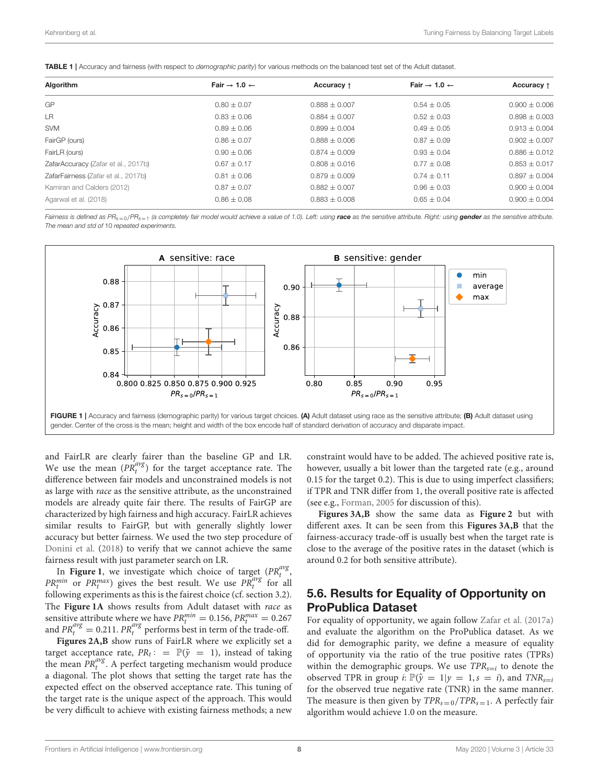| Algorithm                           | Fair $\rightarrow$ 1.0 $\leftarrow$ | Accuracy 1        | Fair $\rightarrow$ 1.0 $\leftarrow$ | Accuracy $\uparrow$ |  |
|-------------------------------------|-------------------------------------|-------------------|-------------------------------------|---------------------|--|
| GP                                  | $0.80 \pm 0.07$                     | $0.888 \pm 0.007$ | $0.54 \pm 0.05$                     | $0.900 \pm 0.006$   |  |
| LR                                  | $0.83 \pm 0.06$                     | $0.884 \pm 0.007$ | $0.52 \pm 0.03$                     | $0.898 \pm 0.003$   |  |
| <b>SVM</b>                          | $0.89 \pm 0.06$                     | $0.899 \pm 0.004$ | $0.49 \pm 0.05$                     | $0.913 \pm 0.004$   |  |
| FairGP (ours)                       | $0.86 \pm 0.07$                     | $0.888 \pm 0.006$ | $0.87 \pm 0.09$                     | $0.902 \pm 0.007$   |  |
| FairLR (ours)                       | $0.90 + 0.06$                       | $0.874 + 0.009$   | $0.93 + 0.04$                       | $0.886 \pm 0.012$   |  |
| ZafarAccuracy (Zafar et al., 2017b) | $0.67 \pm 0.17$                     | $0.808 \pm 0.016$ | $0.77 \pm 0.08$                     | $0.853 \pm 0.017$   |  |
| ZafarFairness (Zafar et al., 2017b) | $0.81 \pm 0.06$                     | $0.879 \pm 0.009$ | $0.74 \pm 0.11$                     | $0.897 \pm 0.004$   |  |
| Kamiran and Calders (2012)          | $0.87 \pm 0.07$                     | $0.882 \pm 0.007$ | $0.96 \pm 0.03$                     | $0.900 \pm 0.004$   |  |
| Agarwal et al. (2018)               | $0.86 \pm 0.08$                     | $0.883 + 0.008$   | $0.65 + 0.04$                       | $0.900 \pm 0.004$   |  |

<span id="page-8-0"></span>TABLE 1 | Accuracy and fairness (with respect to *demographic parity*) for various methods on the balanced test set of the Adult dataset.

Fairness is defined as  $PR_{s=0}/PR_{s=1}$  (a completely fair model would achieve a value of 1.0). Left: using race as the sensitive attribute. Right: using gender as the sensitive attribute. *The mean and std of* 10 *repeated experiments.*



<span id="page-8-1"></span>and FairLR are clearly fairer than the baseline GP and LR. We use the mean  $(PR_t^{avg})$  for the target acceptance rate. The difference between fair models and unconstrained models is not as large with race as the sensitive attribute, as the unconstrained models are already quite fair there. The results of FairGP are characterized by high fairness and high accuracy. FairLR achieves similar results to FairGP, but with generally slightly lower accuracy but better fairness. We used the two step procedure of [Donini et al.](#page-11-5) [\(2018\)](#page-11-5) to verify that we cannot achieve the same fairness result with just parameter search on LR.

In **[Figure 1](#page-8-1)**, we investigate which choice of target  $(PR_t^{avg})$ ,  $PR_t^{min}$  or  $PR_t^{max}$ ) gives the best result. We use  $PR_t^{avg}$  for all following experiments as this is the fairest choice (cf. section 3.2). The **[Figure 1A](#page-8-1)** shows results from Adult dataset with race as sensitive attribute where we have  $PR_t^{min} = 0.156$ ,  $PR_t^{max} = 0.267$ and  $PR_t^{avg} = 0.211$ .  $PR_t^{avg}$  performs best in term of the trade-off.

[Figures 2A,B](#page-9-0) show runs of FairLR where we explicitly set a target acceptance rate,  $PR_t$ : =  $\mathbb{P}(\bar{y} = 1)$ , instead of taking the mean  $PR_t^{avg}$ . A perfect targeting mechanism would produce a diagonal. The plot shows that setting the target rate has the expected effect on the observed acceptance rate. This tuning of the target rate is the unique aspect of the approach. This would be very difficult to achieve with existing fairness methods; a new constraint would have to be added. The achieved positive rate is, however, usually a bit lower than the targeted rate (e.g., around 0.15 for the target 0.2). This is due to using imperfect classifiers; if TPR and TNR differ from 1, the overall positive rate is affected (see e.g., [Forman, 2005](#page-11-28) for discussion of this).

**[Figures 3A,B](#page-9-1)** show the same data as **[Figure 2](#page-9-0)** but with different axes. It can be seen from this **[Figures 3A,B](#page-9-1)** that the fairness-accuracy trade-off is usually best when the target rate is close to the average of the positive rates in the dataset (which is around 0.2 for both sensitive attribute).

## 5.6. Results for Equality of Opportunity on ProPublica Dataset

For equality of opportunity, we again follow [Zafar et al. \(2017a\)](#page-12-2) and evaluate the algorithm on the ProPublica dataset. As we did for demographic parity, we define a measure of equality of opportunity via the ratio of the true positive rates (TPRs) within the demographic groups. We use  $TPR_{s=i}$  to denote the observed TPR in group *i*:  $\mathbb{P}(\hat{y} = 1 | y = 1, s = i)$ , and  $TNR_{s=i}$ for the observed true negative rate (TNR) in the same manner. The measure is then given by  $TPR_{s=0}/TPR_{s=1}$ . A perfectly fair algorithm would achieve 1.0 on the measure.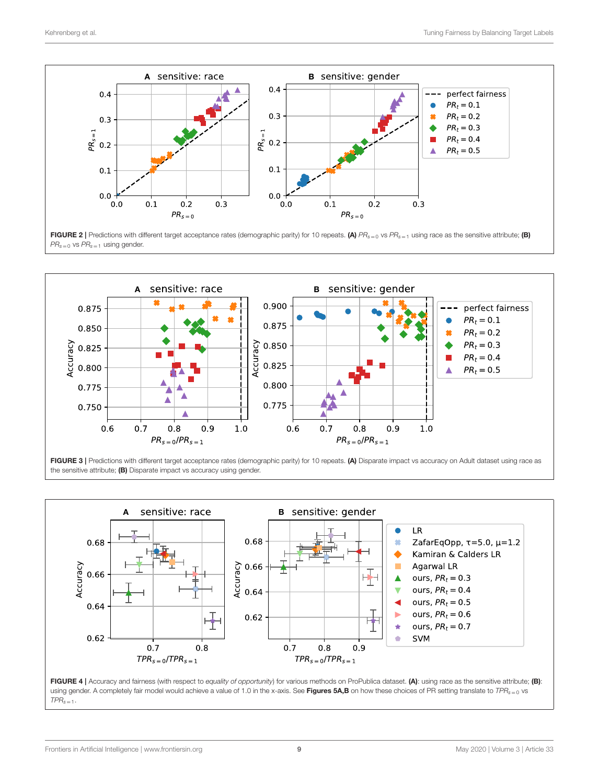

<span id="page-9-0"></span>*PR<sup>s</sup>* <sup>=</sup> <sup>0</sup> vs *PR<sup>s</sup>* <sup>=</sup> <sup>1</sup> using gender.



<span id="page-9-1"></span>



<span id="page-9-2"></span>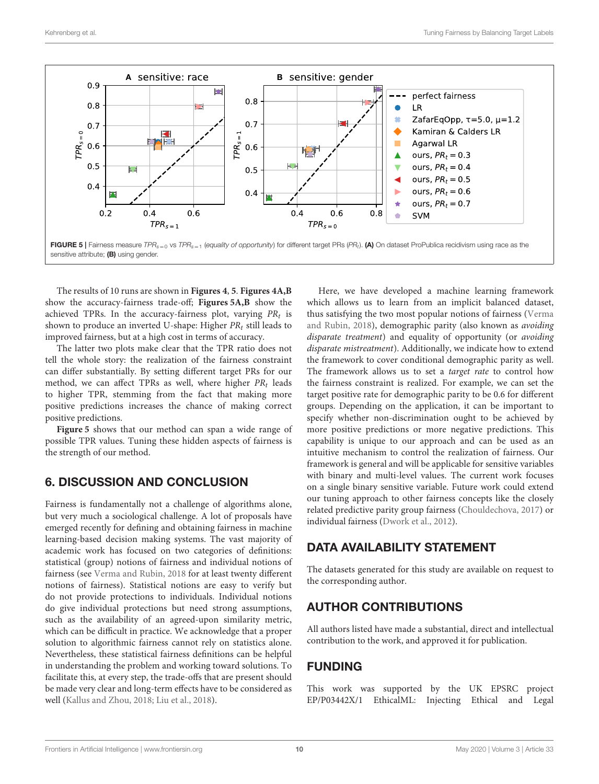

<span id="page-10-0"></span>The results of 10 runs are shown in **[Figures 4](#page-9-2)**, **[5](#page-10-0)**. **[Figures 4A,B](#page-9-2)** show the accuracy-fairness trade-off; **[Figures 5A,B](#page-10-0)** show the achieved TPRs. In the accuracy-fairness plot, varying  $PR_t$  is shown to produce an inverted U-shape: Higher  $PR_t$  still leads to improved fairness, but at a high cost in terms of accuracy.

The latter two plots make clear that the TPR ratio does not tell the whole story: the realization of the fairness constraint can differ substantially. By setting different target PRs for our method, we can affect TPRs as well, where higher  $PR_t$  leads to higher TPR, stemming from the fact that making more positive predictions increases the chance of making correct positive predictions.

**[Figure 5](#page-10-0)** shows that our method can span a wide range of possible TPR values. Tuning these hidden aspects of fairness is the strength of our method.

## 6. DISCUSSION AND CONCLUSION

Fairness is fundamentally not a challenge of algorithms alone, but very much a sociological challenge. A lot of proposals have emerged recently for defining and obtaining fairness in machine learning-based decision making systems. The vast majority of academic work has focused on two categories of definitions: statistical (group) notions of fairness and individual notions of fairness (see [Verma and Rubin, 2018](#page-12-9) for at least twenty different notions of fairness). Statistical notions are easy to verify but do not provide protections to individuals. Individual notions do give individual protections but need strong assumptions, such as the availability of an agreed-upon similarity metric, which can be difficult in practice. We acknowledge that a proper solution to algorithmic fairness cannot rely on statistics alone. Nevertheless, these statistical fairness definitions can be helpful in understanding the problem and working toward solutions. To facilitate this, at every step, the trade-offs that are present should be made very clear and long-term effects have to be considered as well [\(Kallus and Zhou, 2018;](#page-11-29) [Liu et al., 2018\)](#page-11-30).

Here, we have developed a machine learning framework which allows us to learn from an implicit balanced dataset, thus satisfying the two most popular notions of fairness (Verma and Rubin, [2018\)](#page-12-9), demographic parity (also known as avoiding disparate treatment) and equality of opportunity (or avoiding disparate mistreatment). Additionally, we indicate how to extend the framework to cover conditional demographic parity as well. The framework allows us to set a target rate to control how the fairness constraint is realized. For example, we can set the target positive rate for demographic parity to be 0.6 for different groups. Depending on the application, it can be important to specify whether non-discrimination ought to be achieved by more positive predictions or more negative predictions. This capability is unique to our approach and can be used as an intuitive mechanism to control the realization of fairness. Our framework is general and will be applicable for sensitive variables with binary and multi-level values. The current work focuses on a single binary sensitive variable. Future work could extend our tuning approach to other fairness concepts like the closely related predictive parity group fairness [\(Chouldechova, 2017\)](#page-11-11) or individual fairness [\(Dwork et al., 2012\)](#page-11-12).

## DATA AVAILABILITY STATEMENT

The datasets generated for this study are available on request to the corresponding author.

## AUTHOR CONTRIBUTIONS

All authors listed have made a substantial, direct and intellectual contribution to the work, and approved it for publication.

## FUNDING

This work was supported by the UK EPSRC project EP/P03442X/1 EthicalML: Injecting Ethical and Legal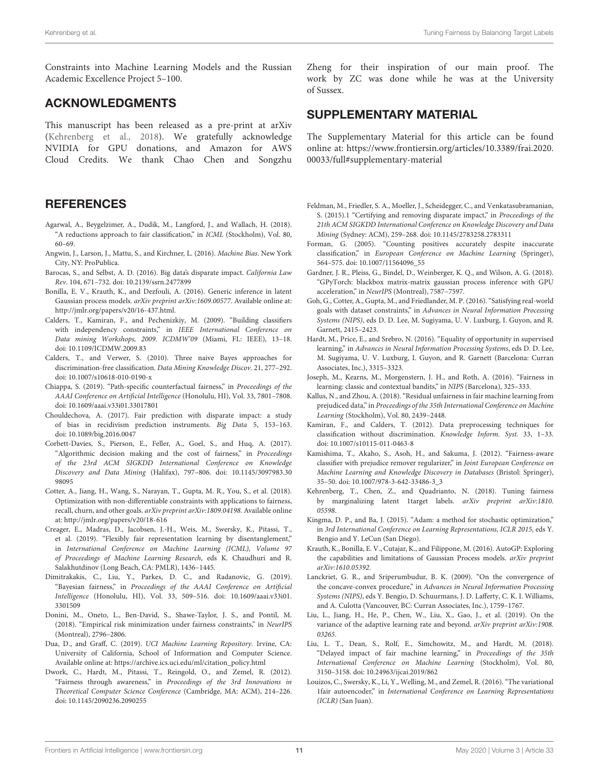Constraints into Machine Learning Models and the Russian Academic Excellence Project 5–100.

## ACKNOWLEDGMENTS

This manuscript has been released as a pre-print at arXiv [\(Kehrenberg et al., 2018\)](#page-11-31). We gratefully acknowledge NVIDIA for GPU donations, and Amazon for AWS Cloud Credits. We thank Chao Chen and Songzhu

## **REFERENCES**

- <span id="page-11-3"></span>Agarwal, A., Beygelzimer, A., Dudik, M., Langford, J., and Wallach, H. (2018). "A reductions approach to fair classification," in ICML (Stockholm), Vol. 80, 60–69.
- <span id="page-11-25"></span>Angwin, J., Larson, J., Mattu, S., and Kirchner, L. (2016). Machine Bias. New York City, NY: ProPublica.
- <span id="page-11-15"></span>Barocas, S., and Selbst, A. D. (2016). Big data's disparate impact. California Law Rev. 104, 671–732. doi: [10.2139/ssrn.2477899](https://doi.org/10.2139/ssrn.2477899)
- <span id="page-11-6"></span>Bonilla, E. V., Krauth, K., and Dezfouli, A. (2016). Generic inference in latent Gaussian process models. arXiv preprint arXiv:1609.00577. Available online at: [http://jmlr.org/papers/v20/16-437.html.](http://jmlr.org/papers/v20/16-437.html)
- <span id="page-11-1"></span>Calders, T., Kamiran, F., and Pechenizkiy, M. (2009). "Building classifiers with independency constraints," in IEEE International Conference on Data mining Workshops, 2009. ICDMW'09 (Miami, FL: IEEE), 13–18. doi: [10.1109/ICDMW.2009.83](https://doi.org/10.1109/ICDMW.2009.83)
- <span id="page-11-9"></span>Calders, T., and Verwer, S. (2010). Three naive Bayes approaches for discrimination-free classification. Data Mining Knowledge Discov. 21, 277–292. doi: [10.1007/s10618-010-0190-x](https://doi.org/10.1007/s10618-010-0190-x)
- <span id="page-11-18"></span>Chiappa, S. (2019). "Path-specific counterfactual fairness," in Proceedings of the AAAI Conference on Artificial Intelligence (Honolulu, HI), Vol. 33, 7801–7808. doi: [10.1609/aaai.v33i01.33017801](https://doi.org/10.1609/aaai.v33i01.33017801)
- <span id="page-11-11"></span>Chouldechova, A. (2017). Fair prediction with disparate impact: a study of bias in recidivism prediction instruments. Big Data 5, 153–163. doi: [10.1089/big.2016.0047](https://doi.org/10.1089/big.2016.0047)
- <span id="page-11-16"></span>Corbett-Davies, S., Pierson, E., Feller, A., Goel, S., and Huq, A. (2017). "Algorithmic decision making and the cost of fairness," in Proceedings of the 23rd ACM SIGKDD International Conference on Knowledge Discovery and Data Mining [\(Halifax\), 797–806. doi: 10.1145/3097983.30](https://doi.org/10.1145/3097983.3098095) 98095
- <span id="page-11-23"></span>Cotter, A., Jiang, H., Wang, S., Narayan, T., Gupta, M. R., You, S., et al. (2018). Optimization with non-differentiable constraints with applications to fairness, recall, churn, and other goals. arXiv preprint arXiv:1809.04198. Available online at:<http://jmlr.org/papers/v20/18-616>
- <span id="page-11-4"></span>Creager, E., Madras, D., Jacobsen, J.-H., Weis, M., Swersky, K., Pitassi, T., et al. (2019). "Flexibly fair representation learning by disentanglement," in International Conference on Machine Learning (ICML), Volume 97 of Proceedings of Machine Learning Research, eds K. Chaudhuri and R. Salakhutdinov (Long Beach, CA: PMLR), 1436–1445.
- <span id="page-11-20"></span>Dimitrakakis, C., Liu, Y., Parkes, D. C., and Radanovic, G. (2019). "Bayesian fairness," in Proceedings of the AAAI Conference on Artificial Intelligence [\(Honolulu, HI\), Vol. 33, 509–516. doi: 10.1609/aaai.v33i01.](https://doi.org/10.1609/aaai.v33i01.3301509) 3301509
- <span id="page-11-5"></span>Donini, M., Oneto, L., Ben-David, S., Shawe-Taylor, J. S., and Pontil, M. (2018). "Empirical risk minimization under fairness constraints," in NeurIPS (Montreal), 2796–2806.
- <span id="page-11-24"></span>Dua, D., and Graff, C. (2019). UCI Machine Learning Repository. Irvine, CA: University of California, School of Information and Computer Science. Available online at: [https://archive.ics.uci.edu/ml/citation\\_policy.html](https://archive.ics.uci.edu/ml/citation_policy.html)
- <span id="page-11-12"></span>Dwork, C., Hardt, M., Pitassi, T., Reingold, O., and Zemel, R. (2012). "Fairness through awareness," in Proceedings of the 3rd Innovations in Theoretical Computer Science Conference (Cambridge, MA: ACM), 214–226. doi: [10.1145/2090236.2090255](https://doi.org/10.1145/2090236.2090255)

Zheng for their inspiration of our main proof. The work by ZC was done while he was at the University of Sussex.

## SUPPLEMENTARY MATERIAL

<span id="page-11-14"></span>The Supplementary Material for this article can be found [online at: https://www.frontiersin.org/articles/10.3389/frai.2020.](https://www.frontiersin.org/articles/10.3389/frai.2020.00033/full#supplementary-material) 00033/full#supplementary-material

- <span id="page-11-19"></span>Feldman, M., Friedler, S. A., Moeller, J., Scheidegger, C., and Venkatasubramanian, S. (2015).1 "Certifying and removing disparate impact," in Proceedings of the 21th ACM SIGKDD International Conference on Knowledge Discovery and Data Mining (Sydney: ACM), 259–268. doi: [10.1145/2783258.2783311](https://doi.org/10.1145/2783258.2783311)
- <span id="page-11-28"></span>Forman, G. (2005). "Counting positives accurately despite inaccurate classification," in European Conference on Machine Learning (Springer), 564–575. doi: [10.1007/11564096\\_55](https://doi.org/10.1007/11564096_55)
- <span id="page-11-8"></span>Gardner, J. R., Pleiss, G., Bindel, D., Weinberger, K. Q., and Wilson, A. G. (2018). "GPyTorch: blackbox matrix-matrix gaussian process inference with GPU acceleration," in NeurIPS (Montreal), 7587–7597.
- <span id="page-11-21"></span>Goh, G., Cotter, A., Gupta, M., and Friedlander, M. P. (2016). "Satisfying real-world goals with dataset constraints," in Advances in Neural Information Processing Systems (NIPS), eds D. D. Lee, M. Sugiyama, U. V. Luxburg, I. Guyon, and R. Garnett, 2415–2423.
- <span id="page-11-0"></span>Hardt, M., Price, E., and Srebro, N. (2016). "Equality of opportunity in supervised learning," in Advances in Neural Information Processing Systems, eds D. D. Lee, M. Sugiyama, U. V. Luxburg, I. Guyon, and R. Garnett (Barcelona: Curran Associates, Inc.), 3315–3323.
- <span id="page-11-13"></span>Joseph, M., Kearns, M., Morgenstern, J. H., and Roth, A. (2016). "Fairness in learning: classic and contextual bandits," in NIPS (Barcelona), 325–333.
- <span id="page-11-29"></span>Kallus, N., and Zhou, A. (2018). "Residual unfairness in fair machine learning from prejudiced data," in Proceedings of the 35th International Conference on Machine Learning (Stockholm), Vol. 80, 2439–2448.
- <span id="page-11-10"></span>Kamiran, F., and Calders, T. (2012). Data preprocessing techniques for classification without discrimination. Knowledge Inform. Syst. 33, 1–33. doi: [10.1007/s10115-011-0463-8](https://doi.org/10.1007/s10115-011-0463-8)
- <span id="page-11-2"></span>Kamishima, T., Akaho, S., Asoh, H., and Sakuma, J. (2012). "Fairness-aware classifier with prejudice remover regularizer," in Joint European Conference on Machine Learning and Knowledge Discovery in Databases (Bristol: Springer), 35–50. doi: [10.1007/978-3-642-33486-3\\_3](https://doi.org/10.1007/978-3-642-33486-3_3)
- <span id="page-11-31"></span>Kehrenberg, T., Chen, Z., and Quadrianto, N. (2018). Tuning fairness by marginalizing latent 1target labels. arXiv preprint arXiv:1810. 05598.
- <span id="page-11-26"></span>Kingma, D. P., and Ba, J. (2015). "Adam: a method for stochastic optimization," in 3rd International Conference on Learning Representations, ICLR 2015, eds Y. Bengio and Y. LeCun (San Diego).
- <span id="page-11-7"></span>Krauth, K., Bonilla, E. V., Cutajar, K., and Filippone, M. (2016). AutoGP: Exploring the capabilities and limitations of Gaussian Process models. arXiv preprint arXiv:1610.05392.
- <span id="page-11-22"></span>Lanckriet, G. R., and Sriperumbudur, B. K. (2009). "On the convergence of the concave-convex procedure," in Advances in Neural Information Processing Systems (NIPS), eds Y. Bengio, D. Schuurmans, J. D. Lafferty, C. K. I. Williams, and A. Culotta (Vancouver, BC: Curran Associates, Inc.), 1759–1767.
- <span id="page-11-27"></span>Liu, L., Jiang, H., He, P., Chen, W., Liu, X., Gao, J., et al. (2019). On the variance of the adaptive learning rate and beyond. arXiv preprint arXiv:1908. 03265.
- <span id="page-11-30"></span>Liu, L. T., Dean, S., Rolf, E., Simchowitz, M., and Hardt, M. (2018). "Delayed impact of fair machine learning," in Proceedings of the 35th International Conference on Machine Learning (Stockholm), Vol. 80, 3150–3158. doi: [10.24963/ijcai.2019/862](https://doi.org/10.24963/ijcai.2019/862)
- <span id="page-11-17"></span>Louizos, C., Swersky, K., Li, Y., Welling, M., and Zemel, R. (2016). "The variational 1fair autoencoder," in International Conference on Learning Representations (ICLR) (San Juan).